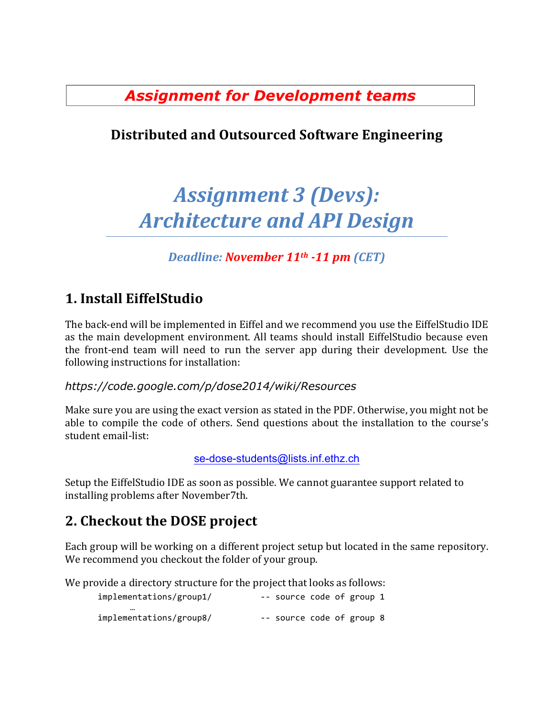*Assignment for Development teams*

# **Distributed and Outsourced Software Engineering**

# Assignment 3 *(Devs): Architecture and API Design*

*Deadline: November 11th -11 pm (CET)*

# **1. Install EiffelStudio**

The back-end will be implemented in Eiffel and we recommend you use the EiffelStudio IDE as the main development environment. All teams should install EiffelStudio because even the front-end team will need to run the server app during their development. Use the following instructions for installation:

#### *https://code.google.com/p/dose2014/wiki/Resources*

Make sure you are using the exact version as stated in the PDF. Otherwise, you might not be able to compile the code of others. Send questions about the installation to the course's student email-list:

se-dose-students@lists.inf.ethz.ch

Setup the EiffelStudio IDE as soon as possible. We cannot guarantee support related to installing problems after November7th.

## **2. Checkout the DOSE project**

Each group will be working on a different project setup but located in the same repository. We recommend you checkout the folder of your group.

We provide a directory structure for the project that looks as follows:

| implementations/group1/     | -- source code of group 1 |  |  |
|-----------------------------|---------------------------|--|--|
| <br>implementations/group8/ | -- source code of group 8 |  |  |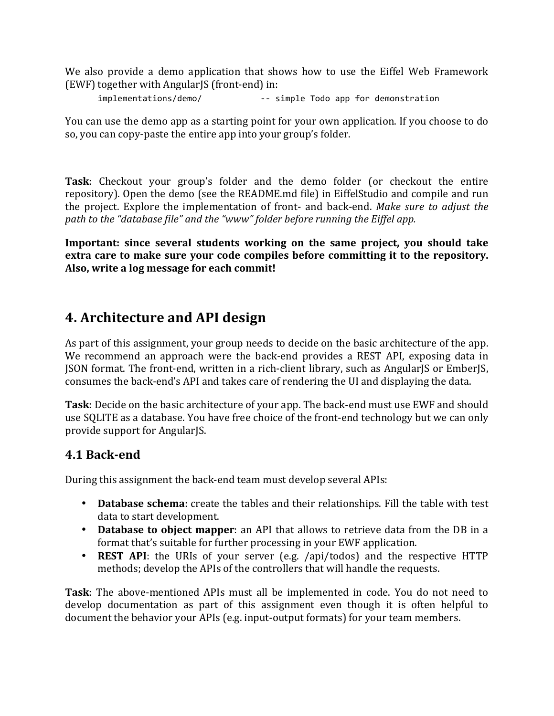We also provide a demo application that shows how to use the Eiffel Web Framework (EWF) together with AngularJS (front-end) in:

implementations/demo/  $-$  simple Todo app for demonstration

You can use the demo app as a starting point for your own application. If you choose to do so, you can copy-paste the entire app into your group's folder.

**Task**: Checkout your group's folder and the demo folder (or checkout the entire repository). Open the demo (see the README.md file) in EiffelStudio and compile and run the project. Explore the implementation of front- and back-end. *Make sure to adjust the* path to the "database file" and the "www" folder before running the Eiffel app.

**Important:** since several students working on the same project, you should take extra care to make sure your code compiles before committing it to the repository. Also, write a log message for each commit!

## **4. Architecture and API design**

As part of this assignment, your group needs to decide on the basic architecture of the app. We recommend an approach were the back-end provides a REST API, exposing data in JSON format. The front-end, written in a rich-client library, such as AngularJS or EmberJS, consumes the back-end's API and takes care of rendering the UI and displaying the data.

**Task**: Decide on the basic architecture of your app. The back-end must use EWF and should use SQLITE as a database. You have free choice of the front-end technology but we can only provide support for AngularJS.

#### **4.1 Back-end**

During this assignment the back-end team must develop several APIs:

- **Database schema**: create the tables and their relationships. Fill the table with test data to start development.
- **Database to object mapper**: an API that allows to retrieve data from the DB in a format that's suitable for further processing in your EWF application.
- **REST API**: the URIs of your server (e.g. /api/todos) and the respective HTTP methods; develop the APIs of the controllers that will handle the requests.

**Task**: The above-mentioned APIs must all be implemented in code. You do not need to develop documentation as part of this assignment even though it is often helpful to document the behavior your APIs (e.g. input-output formats) for your team members.